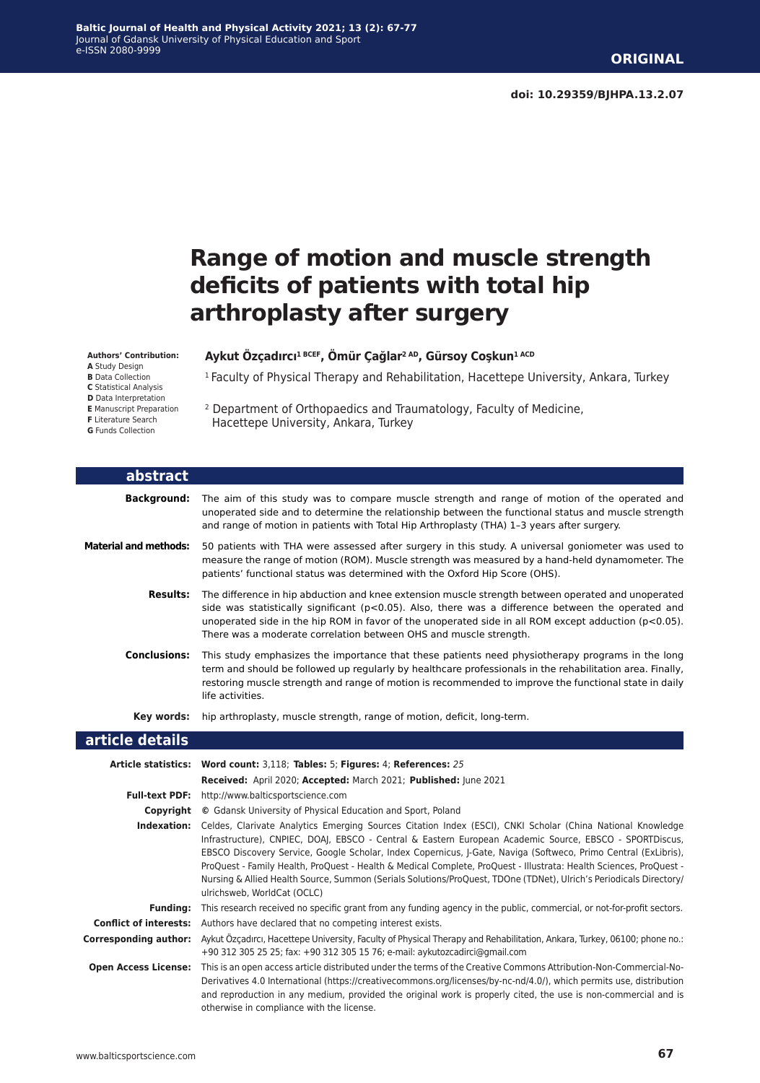# **Range of motion and muscle strength deficits of patients with total hip arthroplasty after surgery**

<sup>1</sup> Faculty of Physical Therapy and Rehabilitation, Hacettepe University, Ankara, Turkey

#### **Authors' Contribution:**

**A** Study Design

**B** Data Collection

**C** Statistical Analysis

- **D** Data Interpretation
- **E** Manuscript Preparation
- 2 Department of Orthopaedics and Traumatology, Faculty of Medicine, Hacettepe University, Ankara, Turkey

**Aykut Özçadırcı1 BCEF, Ömür Çağlar2 AD, Gürsoy Coşkun1 ACD**

| abstract                     |                                                                                                                                                                                                                                                                                                                                                                                              |
|------------------------------|----------------------------------------------------------------------------------------------------------------------------------------------------------------------------------------------------------------------------------------------------------------------------------------------------------------------------------------------------------------------------------------------|
| Background:                  | The aim of this study was to compare muscle strength and range of motion of the operated and<br>unoperated side and to determine the relationship between the functional status and muscle strength<br>and range of motion in patients with Total Hip Arthroplasty (THA) 1-3 years after surgery.                                                                                            |
| <b>Material and methods:</b> | 50 patients with THA were assessed after surgery in this study. A universal goniometer was used to<br>measure the range of motion (ROM). Muscle strength was measured by a hand-held dynamometer. The<br>patients' functional status was determined with the Oxford Hip Score (OHS).                                                                                                         |
| <b>Results:</b>              | The difference in hip abduction and knee extension muscle strength between operated and unoperated<br>side was statistically significant ( $p<0.05$ ). Also, there was a difference between the operated and<br>unoperated side in the hip ROM in favor of the unoperated side in all ROM except adduction $(p<0.05)$ .<br>There was a moderate correlation between OHS and muscle strength. |
| <b>Conclusions:</b>          | This study emphasizes the importance that these patients need physiotherapy programs in the long<br>term and should be followed up regularly by healthcare professionals in the rehabilitation area. Finally,<br>restoring muscle strength and range of motion is recommended to improve the functional state in daily<br>life activities.                                                   |
| Key words:                   | hip arthroplasty, muscle strength, range of motion, deficit, long-term.                                                                                                                                                                                                                                                                                                                      |
| article details              |                                                                                                                                                                                                                                                                                                                                                                                              |
|                              | Article statistics: Word count: 3,118; Tables: 5; Figures: 4; References: 25                                                                                                                                                                                                                                                                                                                 |

|                               | Received: April 2020; Accepted: March 2021; Published: June 2021                                                                                                                                                                                                                                                                                                                                                                                                                                                                                                                                                   |
|-------------------------------|--------------------------------------------------------------------------------------------------------------------------------------------------------------------------------------------------------------------------------------------------------------------------------------------------------------------------------------------------------------------------------------------------------------------------------------------------------------------------------------------------------------------------------------------------------------------------------------------------------------------|
| <b>Full-text PDF:</b>         | http://www.balticsportscience.com                                                                                                                                                                                                                                                                                                                                                                                                                                                                                                                                                                                  |
| Copyright                     | © Gdansk University of Physical Education and Sport, Poland                                                                                                                                                                                                                                                                                                                                                                                                                                                                                                                                                        |
| Indexation:                   | Celdes, Clarivate Analytics Emerging Sources Citation Index (ESCI), CNKI Scholar (China National Knowledge<br>Infrastructure), CNPIEC, DOAJ, EBSCO - Central & Eastern European Academic Source, EBSCO - SPORTDiscus,<br>EBSCO Discovery Service, Google Scholar, Index Copernicus, J-Gate, Naviga (Softweco, Primo Central (ExLibris),<br>ProQuest - Family Health, ProQuest - Health & Medical Complete, ProQuest - Illustrata: Health Sciences, ProQuest -<br>Nursing & Allied Health Source, Summon (Serials Solutions/ProQuest, TDOne (TDNet), Ulrich's Periodicals Directory/<br>ulrichsweb, WorldCat (OCLC) |
| Fundina:                      | This research received no specific grant from any funding agency in the public, commercial, or not-for-profit sectors.                                                                                                                                                                                                                                                                                                                                                                                                                                                                                             |
| <b>Conflict of interests:</b> | Authors have declared that no competing interest exists.                                                                                                                                                                                                                                                                                                                                                                                                                                                                                                                                                           |
| Corresponding author:         | Aykut Özçadırcı, Hacettepe University, Faculty of Physical Therapy and Rehabilitation, Ankara, Turkey, 06100; phone no.:<br>+90 312 305 25 25; fax: +90 312 305 15 76; e-mail: aykutozcadirci@gmail.com                                                                                                                                                                                                                                                                                                                                                                                                            |
| <b>Open Access License:</b>   | This is an open access article distributed under the terms of the Creative Commons Attribution-Non-Commercial-No-<br>Derivatives 4.0 International (https://creativecommons.org/licenses/by-nc-nd/4.0/), which permits use, distribution<br>and reproduction in any medium, provided the original work is properly cited, the use is non-commercial and is<br>otherwise in compliance with the license.                                                                                                                                                                                                            |

#### **F** Literature Search **G** Funds Collection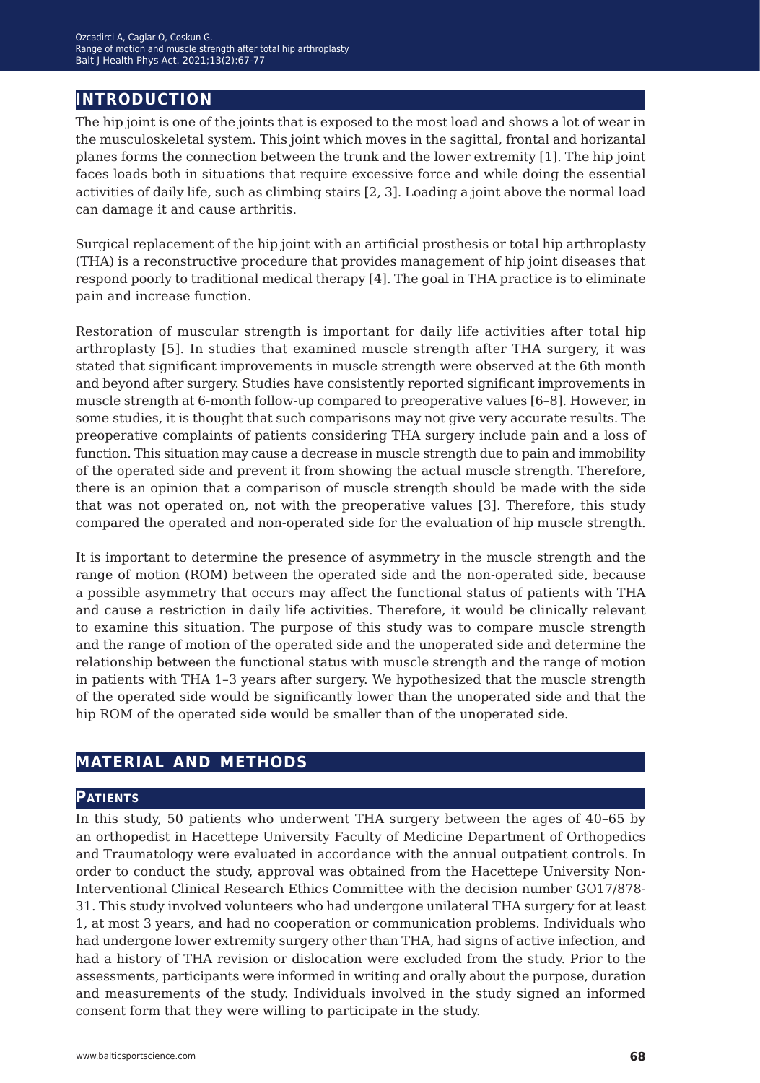# **introduction**

The hip joint is one of the joints that is exposed to the most load and shows a lot of wear in the musculoskeletal system. This joint which moves in the sagittal, frontal and horizantal planes forms the connection between the trunk and the lower extremity [1]. The hip joint faces loads both in situations that require excessive force and while doing the essential activities of daily life, such as climbing stairs [2, 3]. Loading a joint above the normal load can damage it and cause arthritis.

Surgical replacement of the hip joint with an artificial prosthesis or total hip arthroplasty (THA) is a reconstructive procedure that provides management of hip joint diseases that respond poorly to traditional medical therapy [4]. The goal in THA practice is to eliminate pain and increase function.

Restoration of muscular strength is important for daily life activities after total hip arthroplasty [5]. In studies that examined muscle strength after THA surgery, it was stated that significant improvements in muscle strength were observed at the 6th month and beyond after surgery. Studies have consistently reported significant improvements in muscle strength at 6-month follow-up compared to preoperative values [6–8]. However, in some studies, it is thought that such comparisons may not give very accurate results. The preoperative complaints of patients considering THA surgery include pain and a loss of function. This situation may cause a decrease in muscle strength due to pain and immobility of the operated side and prevent it from showing the actual muscle strength. Therefore, there is an opinion that a comparison of muscle strength should be made with the side that was not operated on, not with the preoperative values [3]. Therefore, this study compared the operated and non-operated side for the evaluation of hip muscle strength.

It is important to determine the presence of asymmetry in the muscle strength and the range of motion (ROM) between the operated side and the non-operated side, because a possible asymmetry that occurs may affect the functional status of patients with THA and cause a restriction in daily life activities. Therefore, it would be clinically relevant to examine this situation. The purpose of this study was to compare muscle strength and the range of motion of the operated side and the unoperated side and determine the relationship between the functional status with muscle strength and the range of motion in patients with THA 1–3 years after surgery. We hypothesized that the muscle strength of the operated side would be significantly lower than the unoperated side and that the hip ROM of the operated side would be smaller than of the unoperated side.

### **material and methods**

#### **Patients**

In this study, 50 patients who underwent THA surgery between the ages of 40–65 by an orthopedist in Hacettepe University Faculty of Medicine Department of Orthopedics and Traumatology were evaluated in accordance with the annual outpatient controls. In order to conduct the study, approval was obtained from the Hacettepe University Non-Interventional Clinical Research Ethics Committee with the decision number GO17/878- 31. This study involved volunteers who had undergone unilateral THA surgery for at least 1, at most 3 years, and had no cooperation or communication problems. Individuals who had undergone lower extremity surgery other than THA, had signs of active infection, and had a history of THA revision or dislocation were excluded from the study. Prior to the assessments, participants were informed in writing and orally about the purpose, duration and measurements of the study. Individuals involved in the study signed an informed consent form that they were willing to participate in the study.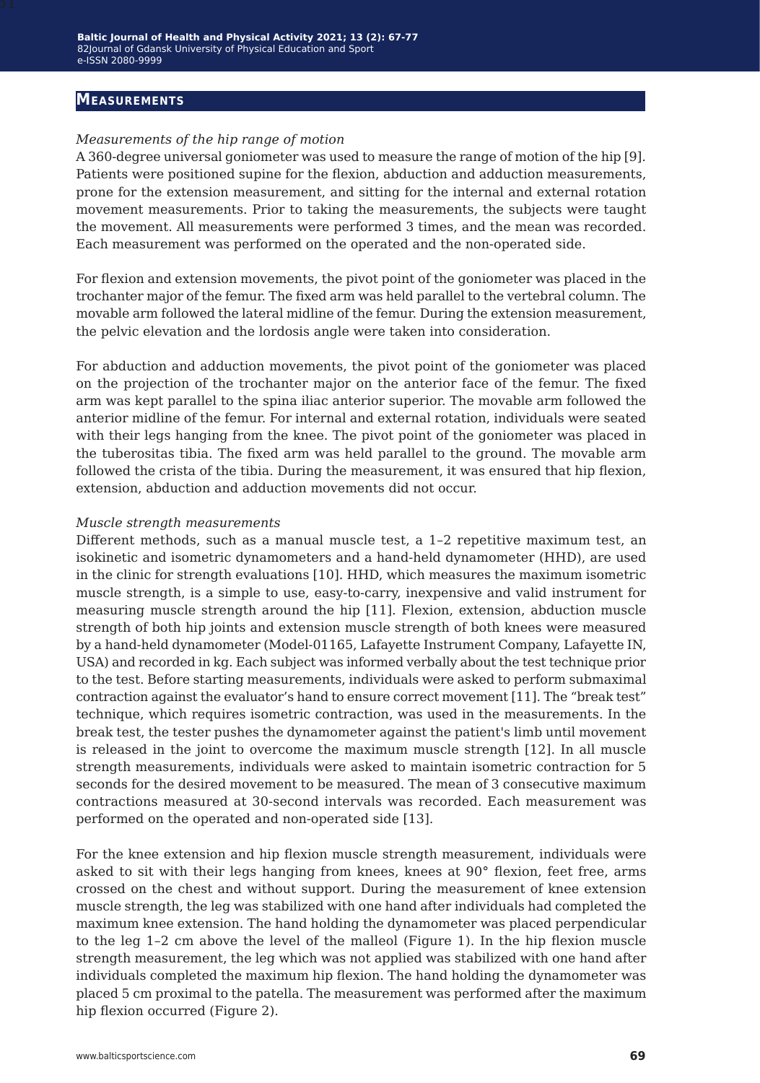#### **Measurements**

### *Measurements of the hip range of motion*

A 360-degree universal goniometer was used to measure the range of motion of the hip [9]. Patients were positioned supine for the flexion, abduction and adduction measurements, prone for the extension measurement, and sitting for the internal and external rotation movement measurements. Prior to taking the measurements, the subjects were taught the movement. All measurements were performed 3 times, and the mean was recorded. Each measurement was performed on the operated and the non-operated side.

For flexion and extension movements, the pivot point of the goniometer was placed in the trochanter major of the femur. The fixed arm was held parallel to the vertebral column. The movable arm followed the lateral midline of the femur. During the extension measurement, the pelvic elevation and the lordosis angle were taken into consideration.

For abduction and adduction movements, the pivot point of the goniometer was placed on the projection of the trochanter major on the anterior face of the femur. The fixed arm was kept parallel to the spina iliac anterior superior. The movable arm followed the anterior midline of the femur. For internal and external rotation, individuals were seated with their legs hanging from the knee. The pivot point of the goniometer was placed in the tuberositas tibia. The fixed arm was held parallel to the ground. The movable arm followed the crista of the tibia. During the measurement, it was ensured that hip flexion, extension, abduction and adduction movements did not occur.

#### *Muscle strength measurements*

Different methods, such as a manual muscle test, a 1–2 repetitive maximum test, an isokinetic and isometric dynamometers and a hand-held dynamometer (HHD), are used in the clinic for strength evaluations [10]. HHD, which measures the maximum isometric muscle strength, is a simple to use, easy-to-carry, inexpensive and valid instrument for measuring muscle strength around the hip [11]. Flexion, extension, abduction muscle strength of both hip joints and extension muscle strength of both knees were measured by a hand-held dynamometer (Model-01165, Lafayette Instrument Company, Lafayette IN, USA) and recorded in kg. Each subject was informed verbally about the test technique prior to the test. Before starting measurements, individuals were asked to perform submaximal contraction against the evaluator's hand to ensure correct movement [11]. The "break test" technique, which requires isometric contraction, was used in the measurements. In the break test, the tester pushes the dynamometer against the patient's limb until movement is released in the joint to overcome the maximum muscle strength [12]. In all muscle strength measurements, individuals were asked to maintain isometric contraction for 5 seconds for the desired movement to be measured. The mean of 3 consecutive maximum contractions measured at 30-second intervals was recorded. Each measurement was performed on the operated and non-operated side [13].

For the knee extension and hip flexion muscle strength measurement, individuals were asked to sit with their legs hanging from knees, knees at 90° flexion, feet free, arms crossed on the chest and without support. During the measurement of knee extension muscle strength, the leg was stabilized with one hand after individuals had completed the maximum knee extension. The hand holding the dynamometer was placed perpendicular to the leg 1–2 cm above the level of the malleol (Figure 1). In the hip flexion muscle strength measurement, the leg which was not applied was stabilized with one hand after individuals completed the maximum hip flexion. The hand holding the dynamometer was placed 5 cm proximal to the patella. The measurement was performed after the maximum hip flexion occurred (Figure 2).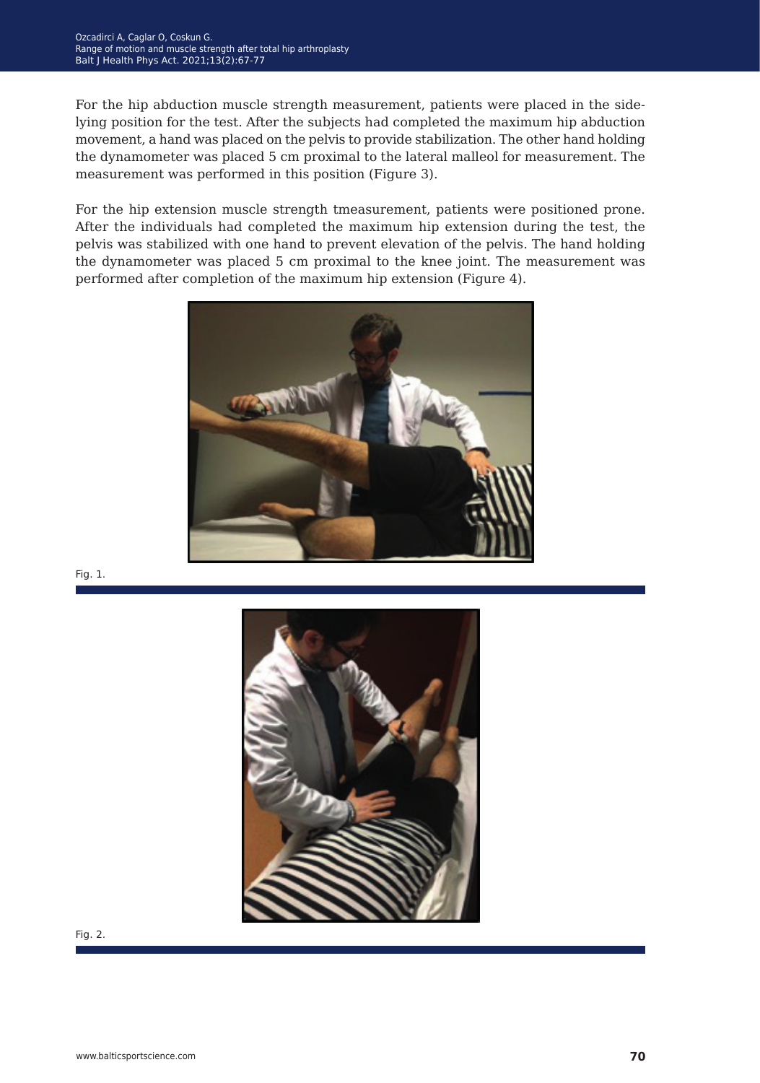For the hip abduction muscle strength measurement, patients were placed in the sidelying position for the test. After the subjects had completed the maximum hip abduction movement, a hand was placed on the pelvis to provide stabilization. The other hand holding the dynamometer was placed 5 cm proximal to the lateral malleol for measurement. The measurement was performed in this position (Figure 3).

For the hip extension muscle strength tmeasurement, patients were positioned prone. After the individuals had completed the maximum hip extension during the test, the pelvis was stabilized with one hand to prevent elevation of the pelvis. The hand holding the dynamometer was placed 5 cm proximal to the knee joint. The measurement was performed after completion of the maximum hip extension (Figure 4).



Fig. 1.



Fig. 2.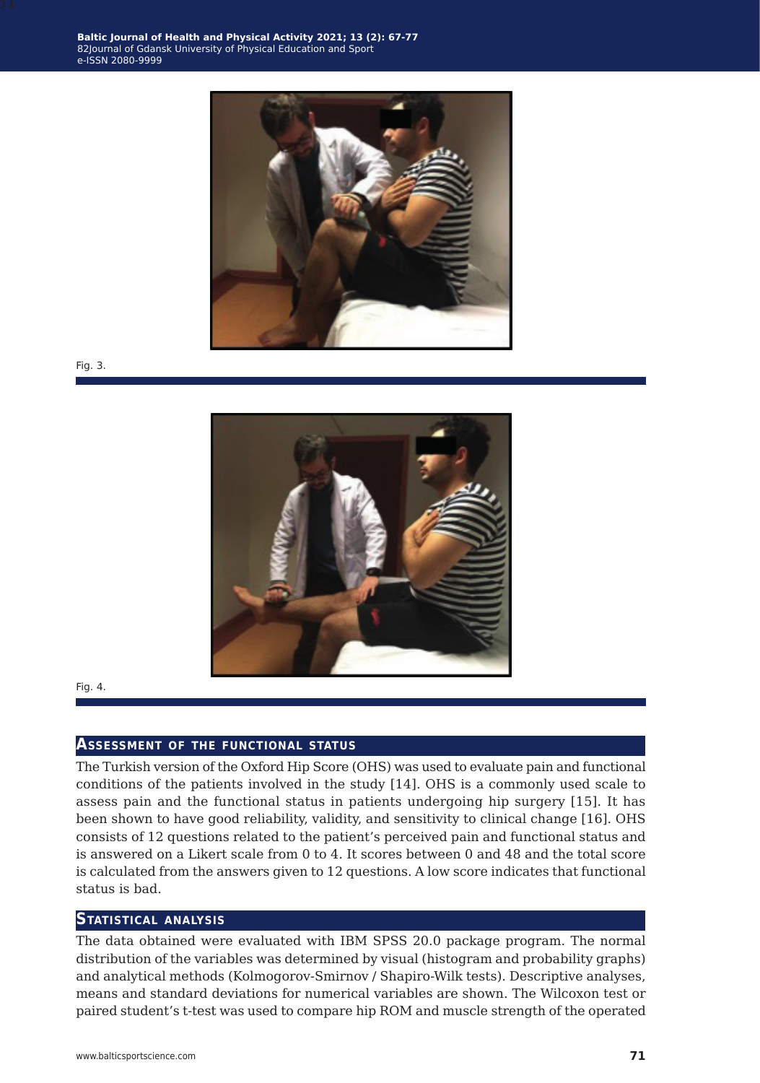

Fig. 3.



Fig. 4.

#### **Assessment of the functional status**

The Turkish version of the Oxford Hip Score (OHS) was used to evaluate pain and functional conditions of the patients involved in the study [14]. OHS is a commonly used scale to assess pain and the functional status in patients undergoing hip surgery [15]. It has been shown to have good reliability, validity, and sensitivity to clinical change [16]. OHS consists of 12 questions related to the patient's perceived pain and functional status and is answered on a Likert scale from 0 to 4. It scores between 0 and 48 and the total score is calculated from the answers given to 12 questions. A low score indicates that functional status is bad.

#### **Statistical analysis**

The data obtained were evaluated with IBM SPSS 20.0 package program. The normal distribution of the variables was determined by visual (histogram and probability graphs) and analytical methods (Kolmogorov-Smirnov / Shapiro-Wilk tests). Descriptive analyses, means and standard deviations for numerical variables are shown. The Wilcoxon test or paired student's t-test was used to compare hip ROM and muscle strength of the operated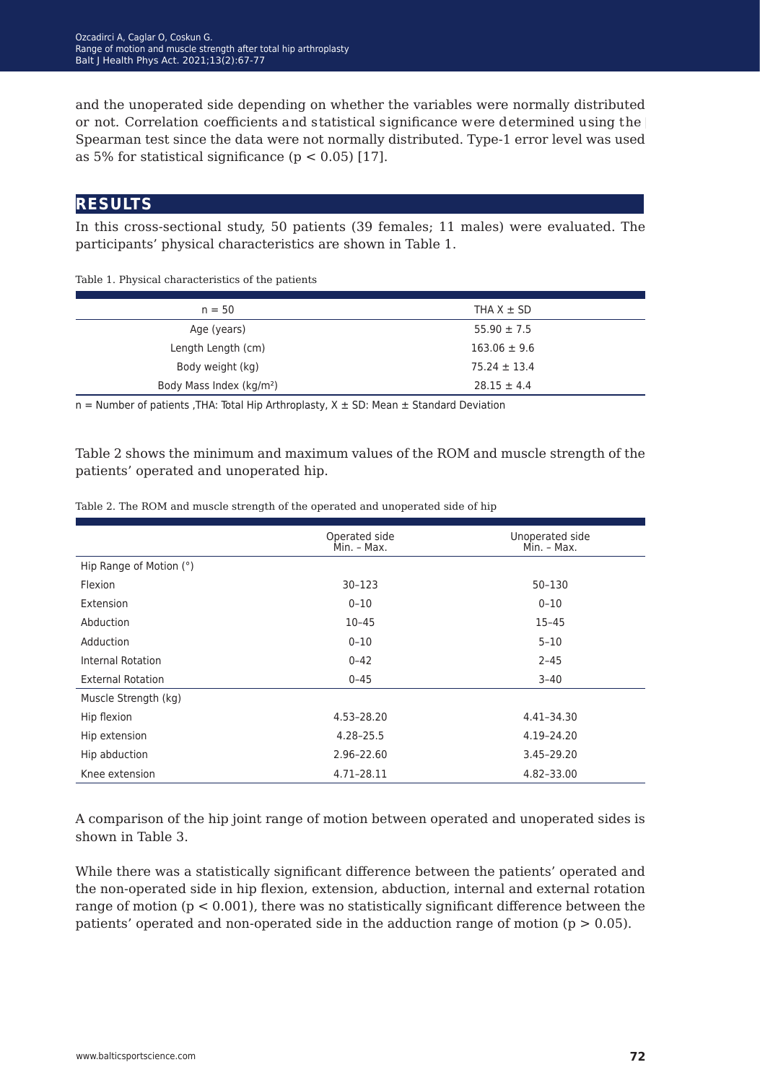and the unoperated side depending on whether the variables were normally distributed or not. Correlation coefficients and statistical significance were determined using the Spearman test since the data were not normally distributed. Type-1 error level was used as 5% for statistical significance ( $p < 0.05$ ) [17].

### **results**

In this cross-sectional study, 50 patients (39 females; 11 males) were evaluated. The participants' physical characteristics are shown in Table 1.

Table 1. Physical characteristics of the patients

| $n = 50$                             | THA $X \pm SD$   |
|--------------------------------------|------------------|
| Age (years)                          | $55.90 \pm 7.5$  |
| Length Length (cm)                   | $163.06 \pm 9.6$ |
| Body weight (kg)                     | $75.24 \pm 13.4$ |
| Body Mass Index (kg/m <sup>2</sup> ) | $28.15 \pm 4.4$  |

 $n =$  Number of patients , THA: Total Hip Arthroplasty,  $X \pm SD$ : Mean  $\pm$  Standard Deviation

Table 2 shows the minimum and maximum values of the ROM and muscle strength of the patients' operated and unoperated hip.

|                          | Operated side<br>Min. - Max. | Unoperated side<br>Min. - Max. |
|--------------------------|------------------------------|--------------------------------|
| Hip Range of Motion (°)  |                              |                                |
| Flexion                  | 30-123                       | 50-130                         |
| Extension                | $0 - 10$                     | $0 - 10$                       |
| Abduction                | $10 - 45$                    | $15 - 45$                      |
| Adduction                | $0 - 10$                     | $5 - 10$                       |
| Internal Rotation        | $0 - 42$                     | $2 - 45$                       |
| <b>External Rotation</b> | $0 - 45$                     | $3 - 40$                       |
| Muscle Strength (kg)     |                              |                                |
| Hip flexion              | 4.53-28.20                   | 4.41-34.30                     |
| Hip extension            | $4.28 - 25.5$                | 4.19-24.20                     |
| Hip abduction            | 2.96-22.60                   | 3.45-29.20                     |
| Knee extension           | 4.71-28.11                   | 4.82-33.00                     |

Table 2. The ROM and muscle strength of the operated and unoperated side of hip

A comparison of the hip joint range of motion between operated and unoperated sides is shown in Table 3.

While there was a statistically significant difference between the patients' operated and the non-operated side in hip flexion, extension, abduction, internal and external rotation range of motion  $(p < 0.001)$ , there was no statistically significant difference between the patients' operated and non-operated side in the adduction range of motion ( $p > 0.05$ ).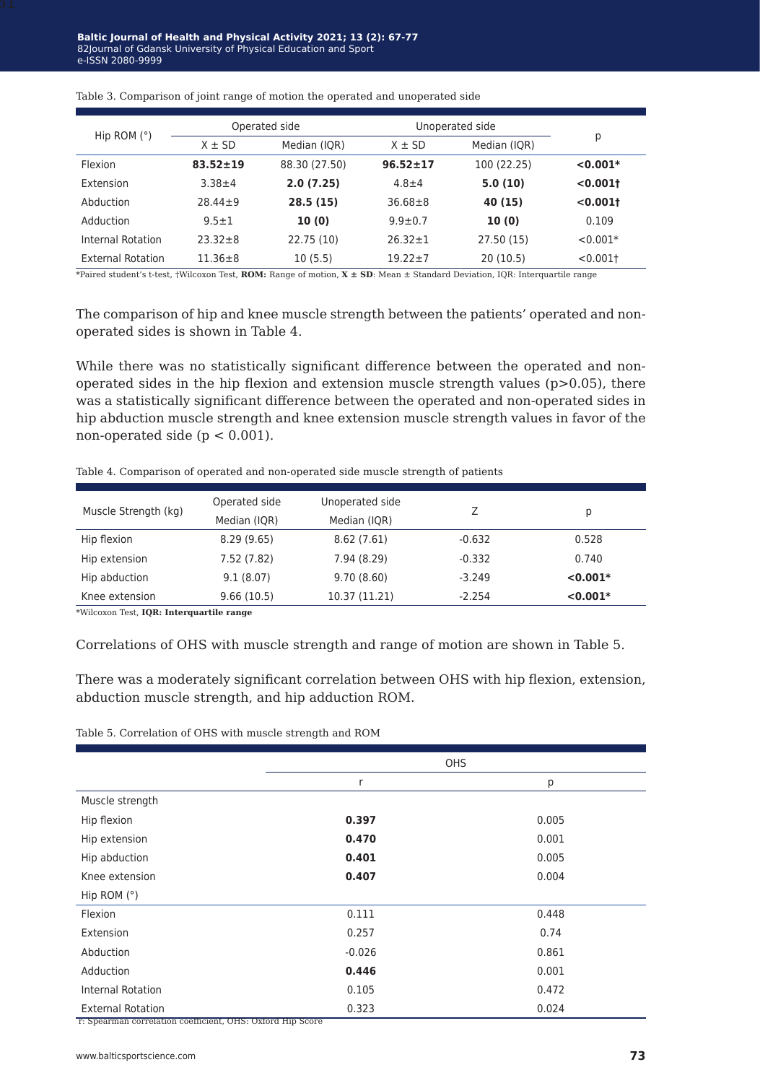|                          | Operated side  |               | Unoperated side |              |             |
|--------------------------|----------------|---------------|-----------------|--------------|-------------|
| Hip ROM $(°)$            | $X \pm SD$     | Median (IQR)  | $X \pm SD$      | Median (IQR) | р           |
| Flexion                  | $83.52 \pm 19$ | 88.30 (27.50) | $96.52 \pm 17$  | 100 (22.25)  | $< 0.001*$  |
| Extension                | $3.38 + 4$     | 2.0(7.25)     | $4.8 + 4$       | 5.0(10)      | < 0.0011    |
| Abduction                | $28.44 \pm 9$  | 28.5(15)      | $36.68 \pm 8$   | 40 (15)      | < 0.0011    |
| Adduction                | $9.5 \pm 1$    | 10(0)         | $9.9 \pm 0.7$   | 10(0)        | 0.109       |
| Internal Rotation        | $23.32 + 8$    | 22.75 (10)    | $26.32 \pm 1$   | 27.50 (15)   | $< 0.001*$  |
| <b>External Rotation</b> | $11.36 \pm 8$  | 10(5.5)       | $19.22 \pm 7$   | 20(10.5)     | $< 0.001$ + |

Table 3. Comparison of joint range of motion the operated and unoperated side

\*Paired student's t-test, †Wilcoxon Test, **ROM:** Range of motion, **X ± SD**: Mean ± Standard Deviation, IQR: Interquartile range

The comparison of hip and knee muscle strength between the patients' operated and nonoperated sides is shown in Table 4.

While there was no statistically significant difference between the operated and nonoperated sides in the hip flexion and extension muscle strength values  $(p>0.05)$ , there was a statistically significant difference between the operated and non-operated sides in hip abduction muscle strength and knee extension muscle strength values in favor of the non-operated side ( $p < 0.001$ ).

| Muscle Strength (kg) | Operated side<br>Median (IQR) | Unoperated side<br>Median (IQR) |          | Ŋ          |
|----------------------|-------------------------------|---------------------------------|----------|------------|
| Hip flexion          | 8.29(9.65)                    | 8.62(7.61)                      | $-0.632$ | 0.528      |
| Hip extension        | 7.52 (7.82)                   | 7.94 (8.29)                     | $-0.332$ | 0.740      |
| Hip abduction        | 9.1(8.07)                     | 9.70(8.60)                      | $-3.249$ | $< 0.001*$ |
| Knee extension       | 9.66(10.5)                    | 10.37 (11.21)                   | $-2.254$ | $< 0.001*$ |

Table 4. Comparison of operated and non-operated side muscle strength of patients

\*Wilcoxon Test, **IQR: Interquartile range**

Correlations of OHS with muscle strength and range of motion are shown in Table 5.

There was a moderately significant correlation between OHS with hip flexion, extension, abduction muscle strength, and hip adduction ROM.

Table 5. Correlation of OHS with muscle strength and ROM

|                          |          | <b>OHS</b> |
|--------------------------|----------|------------|
|                          | r        | р          |
| Muscle strength          |          |            |
| Hip flexion              | 0.397    | 0.005      |
| Hip extension            | 0.470    | 0.001      |
| Hip abduction            | 0.401    | 0.005      |
| Knee extension           | 0.407    | 0.004      |
| Hip ROM $(°)$            |          |            |
| Flexion                  | 0.111    | 0.448      |
| Extension                | 0.257    | 0.74       |
| Abduction                | $-0.026$ | 0.861      |
| Adduction                | 0.446    | 0.001      |
| <b>Internal Rotation</b> | 0.105    | 0.472      |
| <b>External Rotation</b> | 0.323    | 0.024      |

r: Spearman correlation coefficient, OHS: Oxford Hip Score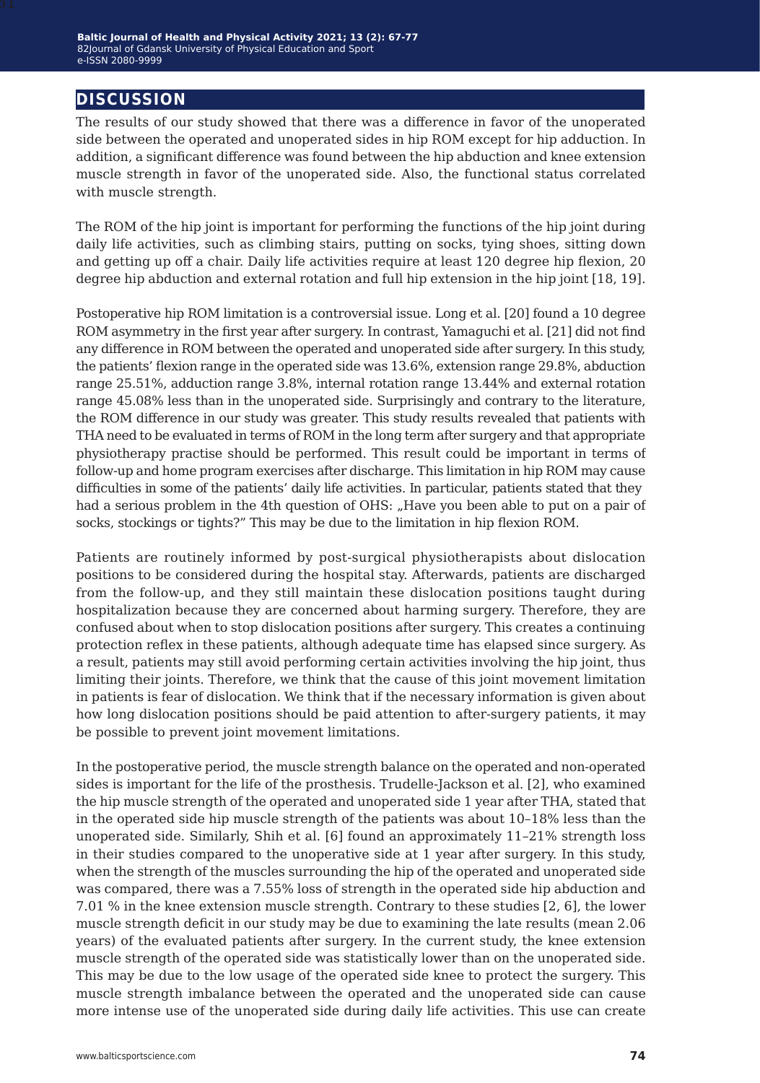# **discussion**

The results of our study showed that there was a difference in favor of the unoperated side between the operated and unoperated sides in hip ROM except for hip adduction. In addition, a significant difference was found between the hip abduction and knee extension muscle strength in favor of the unoperated side. Also, the functional status correlated with muscle strength.

The ROM of the hip joint is important for performing the functions of the hip joint during daily life activities, such as climbing stairs, putting on socks, tying shoes, sitting down and getting up off a chair. Daily life activities require at least 120 degree hip flexion, 20 degree hip abduction and external rotation and full hip extension in the hip joint [18, 19].

Postoperative hip ROM limitation is a controversial issue. Long et al. [20] found a 10 degree ROM asymmetry in the first year after surgery. In contrast, Yamaguchi et al. [21] did not find any difference in ROM between the operated and unoperated side after surgery. In this study, the patients' flexion range in the operated side was 13.6%, extension range 29.8%, abduction range 25.51%, adduction range 3.8%, internal rotation range 13.44% and external rotation range 45.08% less than in the unoperated side. Surprisingly and contrary to the literature, the ROM difference in our study was greater. This study results revealed that patients with THA need to be evaluated in terms of ROM in the long term after surgery and that appropriate physiotherapy practise should be performed. This result could be important in terms of follow-up and home program exercises after discharge. This limitation in hip ROM may cause difficulties in some of the patients' daily life activities. In particular, patients stated that they had a serious problem in the 4th question of OHS: "Have you been able to put on a pair of socks, stockings or tights?" This may be due to the limitation in hip flexion ROM.

Patients are routinely informed by post-surgical physiotherapists about dislocation positions to be considered during the hospital stay. Afterwards, patients are discharged from the follow-up, and they still maintain these dislocation positions taught during hospitalization because they are concerned about harming surgery. Therefore, they are confused about when to stop dislocation positions after surgery. This creates a continuing protection reflex in these patients, although adequate time has elapsed since surgery. As a result, patients may still avoid performing certain activities involving the hip joint, thus limiting their joints. Therefore, we think that the cause of this joint movement limitation in patients is fear of dislocation. We think that if the necessary information is given about how long dislocation positions should be paid attention to after-surgery patients, it may be possible to prevent joint movement limitations.

In the postoperative period, the muscle strength balance on the operated and non-operated sides is important for the life of the prosthesis. Trudelle-Jackson et al. [2], who examined the hip muscle strength of the operated and unoperated side 1 year after THA, stated that in the operated side hip muscle strength of the patients was about 10–18% less than the unoperated side. Similarly, Shih et al. [6] found an approximately 11–21% strength loss in their studies compared to the unoperative side at 1 year after surgery. In this study, when the strength of the muscles surrounding the hip of the operated and unoperated side was compared, there was a 7.55% loss of strength in the operated side hip abduction and 7.01 % in the knee extension muscle strength. Contrary to these studies [2, 6], the lower muscle strength deficit in our study may be due to examining the late results (mean 2.06 years) of the evaluated patients after surgery. In the current study, the knee extension muscle strength of the operated side was statistically lower than on the unoperated side. This may be due to the low usage of the operated side knee to protect the surgery. This muscle strength imbalance between the operated and the unoperated side can cause more intense use of the unoperated side during daily life activities. This use can create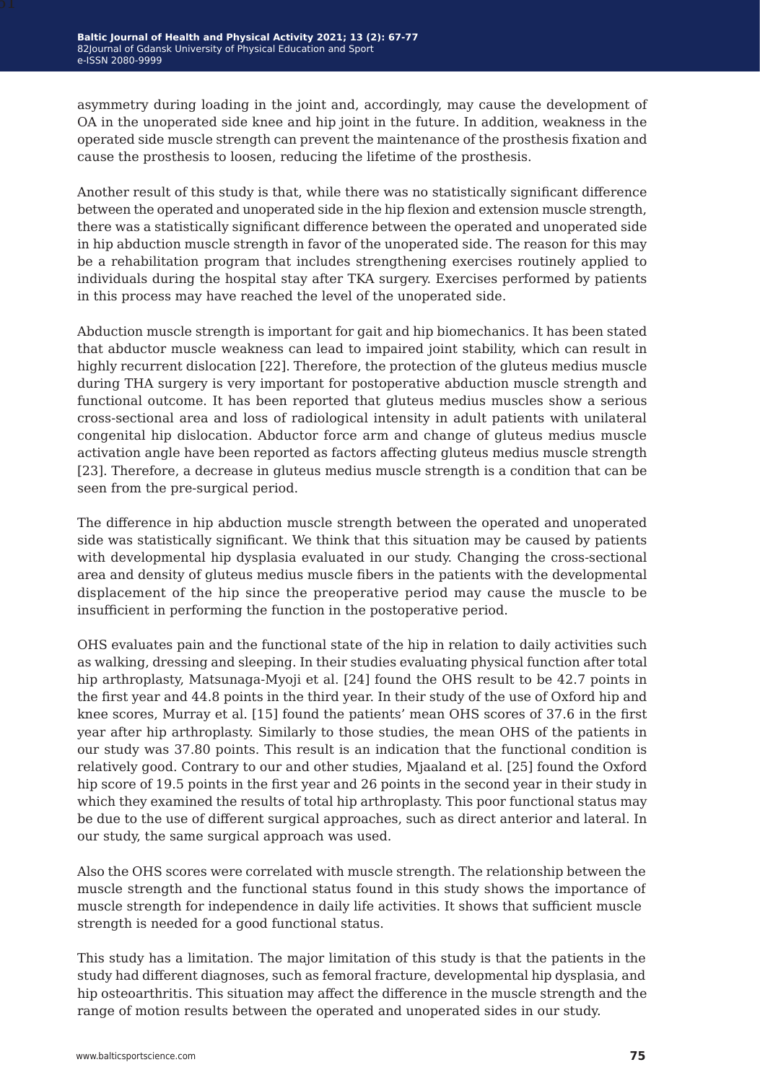asymmetry during loading in the joint and, accordingly, may cause the development of OA in the unoperated side knee and hip joint in the future. In addition, weakness in the operated side muscle strength can prevent the maintenance of the prosthesis fixation and cause the prosthesis to loosen, reducing the lifetime of the prosthesis.

Another result of this study is that, while there was no statistically significant difference between the operated and unoperated side in the hip flexion and extension muscle strength, there was a statistically significant difference between the operated and unoperated side in hip abduction muscle strength in favor of the unoperated side. The reason for this may be a rehabilitation program that includes strengthening exercises routinely applied to individuals during the hospital stay after TKA surgery. Exercises performed by patients in this process may have reached the level of the unoperated side.

Abduction muscle strength is important for gait and hip biomechanics. It has been stated that abductor muscle weakness can lead to impaired joint stability, which can result in highly recurrent dislocation [22]. Therefore, the protection of the gluteus medius muscle during THA surgery is very important for postoperative abduction muscle strength and functional outcome. It has been reported that gluteus medius muscles show a serious cross-sectional area and loss of radiological intensity in adult patients with unilateral congenital hip dislocation. Abductor force arm and change of gluteus medius muscle activation angle have been reported as factors affecting gluteus medius muscle strength [23]. Therefore, a decrease in gluteus medius muscle strength is a condition that can be seen from the pre-surgical period.

The difference in hip abduction muscle strength between the operated and unoperated side was statistically significant. We think that this situation may be caused by patients with developmental hip dysplasia evaluated in our study. Changing the cross-sectional area and density of gluteus medius muscle fibers in the patients with the developmental displacement of the hip since the preoperative period may cause the muscle to be insufficient in performing the function in the postoperative period.

OHS evaluates pain and the functional state of the hip in relation to daily activities such as walking, dressing and sleeping. In their studies evaluating physical function after total hip arthroplasty, Matsunaga-Myoji et al. [24] found the OHS result to be 42.7 points in the first year and 44.8 points in the third year. In their study of the use of Oxford hip and knee scores, Murray et al. [15] found the patients' mean OHS scores of 37.6 in the first year after hip arthroplasty. Similarly to those studies, the mean OHS of the patients in our study was 37.80 points. This result is an indication that the functional condition is relatively good. Contrary to our and other studies, Mjaaland et al. [25] found the Oxford hip score of 19.5 points in the first year and 26 points in the second year in their study in which they examined the results of total hip arthroplasty. This poor functional status may be due to the use of different surgical approaches, such as direct anterior and lateral. In our study, the same surgical approach was used.

Also the OHS scores were correlated with muscle strength. The relationship between the muscle strength and the functional status found in this study shows the importance of muscle strength for independence in daily life activities. It shows that sufficient muscle strength is needed for a good functional status.

This study has a limitation. The major limitation of this study is that the patients in the study had different diagnoses, such as femoral fracture, developmental hip dysplasia, and hip osteoarthritis. This situation may affect the difference in the muscle strength and the range of motion results between the operated and unoperated sides in our study.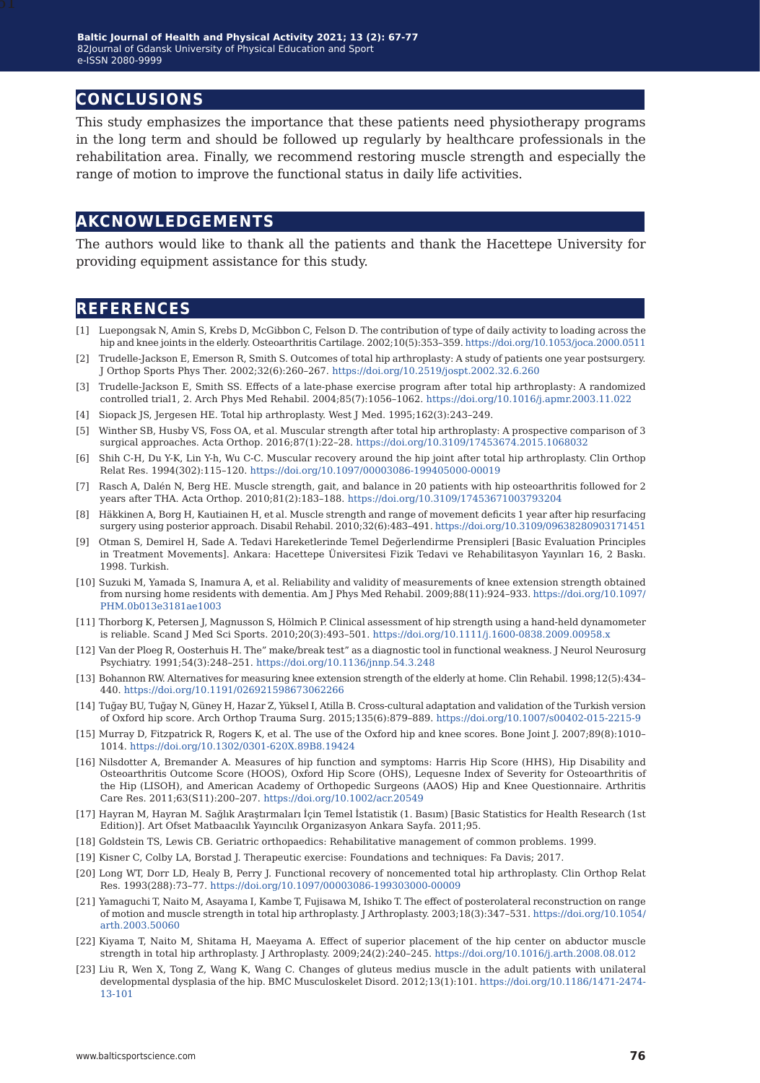### **conclusions**

This study emphasizes the importance that these patients need physiotherapy programs in the long term and should be followed up regularly by healthcare professionals in the rehabilitation area. Finally, we recommend restoring muscle strength and especially the range of motion to improve the functional status in daily life activities.

### **akcnowledgements**

The authors would like to thank all the patients and thank the Hacettepe University for providing equipment assistance for this study.

### **references**

- [1] Luepongsak N, Amin S, Krebs D, McGibbon C, Felson D. The contribution of type of daily activity to loading across the hip and knee joints in the elderly. Osteoarthritis Cartilage. 2002;10(5):353–359. [https://doi.org/10.1053/joca.2000.0511](https://doi.org/10.1053/joca.2000.0511 )
- [2] Trudelle-Jackson E, Emerson R, Smith S. Outcomes of total hip arthroplasty: A study of patients one year postsurgery. J Orthop Sports Phys Ther. 2002;32(6):260–267. <https://doi.org/10.2519/jospt.2002.32.6.260>
- [3] Trudelle-Jackson E, Smith SS. Effects of a late-phase exercise program after total hip arthroplasty: A randomized controlled trial1, 2. Arch Phys Med Rehabil. 2004;85(7):1056–1062.<https://doi.org/10.1016/j.apmr.2003.11.022>
- [4] Siopack JS, Jergesen HE. Total hip arthroplasty. West J Med. 1995;162(3):243–249.
- [5] Winther SB, Husby VS, Foss OA, et al. Muscular strength after total hip arthroplasty: A prospective comparison of 3 surgical approaches. Acta Orthop. 2016;87(1):22–28. <https://doi.org/10.3109/17453674.2015.1068032>
- [6] Shih C-H, Du Y-K, Lin Y-h, Wu C-C. Muscular recovery around the hip joint after total hip arthroplasty. Clin Orthop Relat Res. 1994(302):115–120. <https://doi.org/10.1097/00003086-199405000-00019>
- [7] Rasch A, Dalén N, Berg HE. Muscle strength, gait, and balance in 20 patients with hip osteoarthritis followed for 2 years after THA. Acta Orthop. 2010;81(2):183–188.<https://doi.org/10.3109/17453671003793204>
- [8] Häkkinen A, Borg H, Kautiainen H, et al. Muscle strength and range of movement deficits 1 year after hip resurfacing surgery using posterior approach. Disabil Rehabil. 2010;32(6):483–491. [https://doi.org/10.3109/09638280903171451](https://doi.org/10.3109/09638280903171451 )
- [9] Otman S, Demirel H, Sade A. Tedavi Hareketlerinde Temel Değerlendirme Prensipleri [Basic Evaluation Principles in Treatment Movements]. Ankara: Hacettepe Üniversitesi Fizik Tedavi ve Rehabilitasyon Yayınları 16, 2 Baskı. 1998. Turkish.
- [10] Suzuki M, Yamada S, Inamura A, et al. Reliability and validity of measurements of knee extension strength obtained from nursing home residents with dementia. Am J Phys Med Rehabil. 2009;88(11):924–933. [https://doi.org/10.1097/](https://doi.org/10.1097/PHM.0b013e3181ae1003 ) [PHM.0b013e3181ae1003](https://doi.org/10.1097/PHM.0b013e3181ae1003 )
- [11] Thorborg K, Petersen J, Magnusson S, Hölmich P. Clinical assessment of hip strength using a hand‐held dynamometer is reliable. Scand J Med Sci Sports. 2010;20(3):493–501.<https://doi.org/10.1111/j.1600-0838.2009.00958.x>
- [12] Van der Ploeg R, Oosterhuis H. The" make/break test" as a diagnostic tool in functional weakness. J Neurol Neurosurg Psychiatry. 1991;54(3):248–251.<https://doi.org/10.1136/jnnp.54.3.248>
- [13] Bohannon RW. Alternatives for measuring knee extension strength of the elderly at home. Clin Rehabil. 1998;12(5):434– 440. <https://doi.org/10.1191/026921598673062266>
- [14] Tuğay BU, Tuğay N, Güney H, Hazar Z, Yüksel I, Atilla B. Cross-cultural adaptation and validation of the Turkish version of Oxford hip score. Arch Orthop Trauma Surg. 2015;135(6):879–889. [https://doi.org/10.1007/s00402-015-2215-9](https://doi.org/10.1007/s00402-015-2215-9 )
- [15] Murray D, Fitzpatrick R, Rogers K, et al. The use of the Oxford hip and knee scores. Bone Joint J. 2007;89(8):1010– 1014. <https://doi.org/10.1302/0301-620X.89B8.19424>
- [16] Nilsdotter A, Bremander A. Measures of hip function and symptoms: Harris Hip Score (HHS), Hip Disability and Osteoarthritis Outcome Score (HOOS), Oxford Hip Score (OHS), Lequesne Index of Severity for Osteoarthritis of the Hip (LISOH), and American Academy of Orthopedic Surgeons (AAOS) Hip and Knee Questionnaire. Arthritis Care Res. 2011;63(S11):200–207. <https://doi.org/10.1002/acr.20549>
- [17] Hayran M, Hayran M. Sağlık Araştırmaları İçin Temel İstatistik (1. Basım) [Basic Statistics for Health Research (1st Edition)]. Art Ofset Matbaacılık Yayıncılık Organizasyon Ankara Sayfa. 2011;95.
- [18] Goldstein TS, Lewis CB. Geriatric orthopaedics: Rehabilitative management of common problems. 1999.
- [19] Kisner C, Colby LA, Borstad J. Therapeutic exercise: Foundations and techniques: Fa Davis; 2017.
- [20] Long WT, Dorr LD, Healy B, Perry J. Functional recovery of noncemented total hip arthroplasty. Clin Orthop Relat Res. 1993(288):73–77. <https://doi.org/10.1097/00003086-199303000-00009>
- [21] Yamaguchi T, Naito M, Asayama I, Kambe T, Fujisawa M, Ishiko T. The effect of posterolateral reconstruction on range of motion and muscle strength in total hip arthroplasty. J Arthroplasty. 2003;18(3):347–531. [https://doi.org/10.1054/](https://doi.org/10.1054/arth.2003.50060 ) [arth.2003.50060](https://doi.org/10.1054/arth.2003.50060 )
- [22] Kiyama T, Naito M, Shitama H, Maeyama A. Effect of superior placement of the hip center on abductor muscle strength in total hip arthroplasty. J Arthroplasty. 2009;24(2):240–245. [https://doi.org/10.1016/j.arth.2008.08.012](https://doi.org/10.1016/j.arth.2008.08.012 )
- [23] Liu R, Wen X, Tong Z, Wang K, Wang C. Changes of gluteus medius muscle in the adult patients with unilateral developmental dysplasia of the hip. BMC Musculoskelet Disord. 2012;13(1):101. [https://doi.org/10.1186/1471-2474-](https://doi.org/10.1186/1471-2474-13-101 ) [13-101](https://doi.org/10.1186/1471-2474-13-101 )